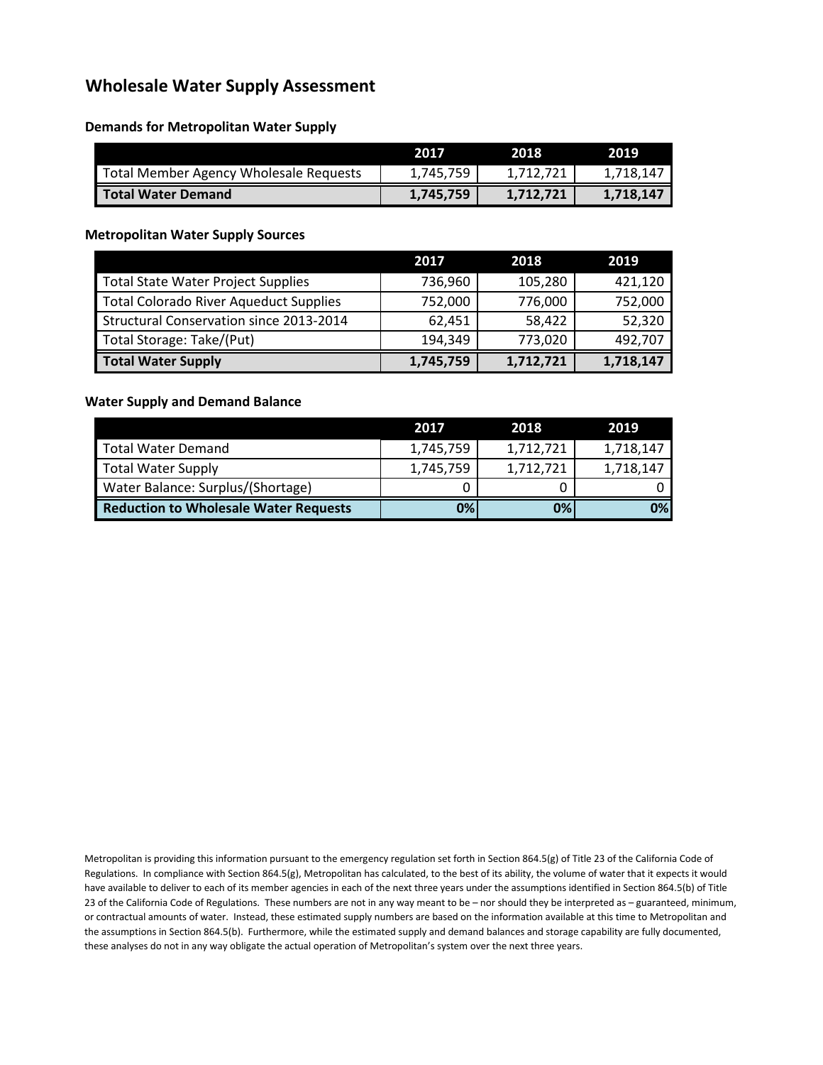# **Wholesale Water Supply Assessment**

### **Demands for Metropolitan Water Supply**

|                                        | 2017      | 2018      | 2019      |
|----------------------------------------|-----------|-----------|-----------|
| Total Member Agency Wholesale Requests | 1,745,759 | 1,712,721 | 1.718.147 |
| <b>Total Water Demand</b>              | 1,745,759 | 1,712,721 | 1.718.147 |

### **Metropolitan Water Supply Sources**

|                                               | 2017      | 2018      | 2019      |
|-----------------------------------------------|-----------|-----------|-----------|
| <b>Total State Water Project Supplies</b>     | 736,960   | 105,280   | 421,120   |
| <b>Total Colorado River Aqueduct Supplies</b> | 752,000   | 776,000   | 752,000   |
| Structural Conservation since 2013-2014       | 62,451    | 58,422    | 52,320    |
| Total Storage: Take/(Put)                     | 194,349   | 773,020   | 492,707   |
| <b>Total Water Supply</b>                     | 1,745,759 | 1,712,721 | 1,718,147 |

#### **Water Supply and Demand Balance**

|                                              | 2017      | 2018      | 2019      |
|----------------------------------------------|-----------|-----------|-----------|
| <b>Total Water Demand</b>                    | 1,745,759 | 1,712,721 | 1,718,147 |
| Total Water Supply                           | 1,745,759 | 1,712,721 | 1,718,147 |
| Water Balance: Surplus/(Shortage)            |           |           |           |
| <b>Reduction to Wholesale Water Requests</b> | 0%        | 0%        | 0%        |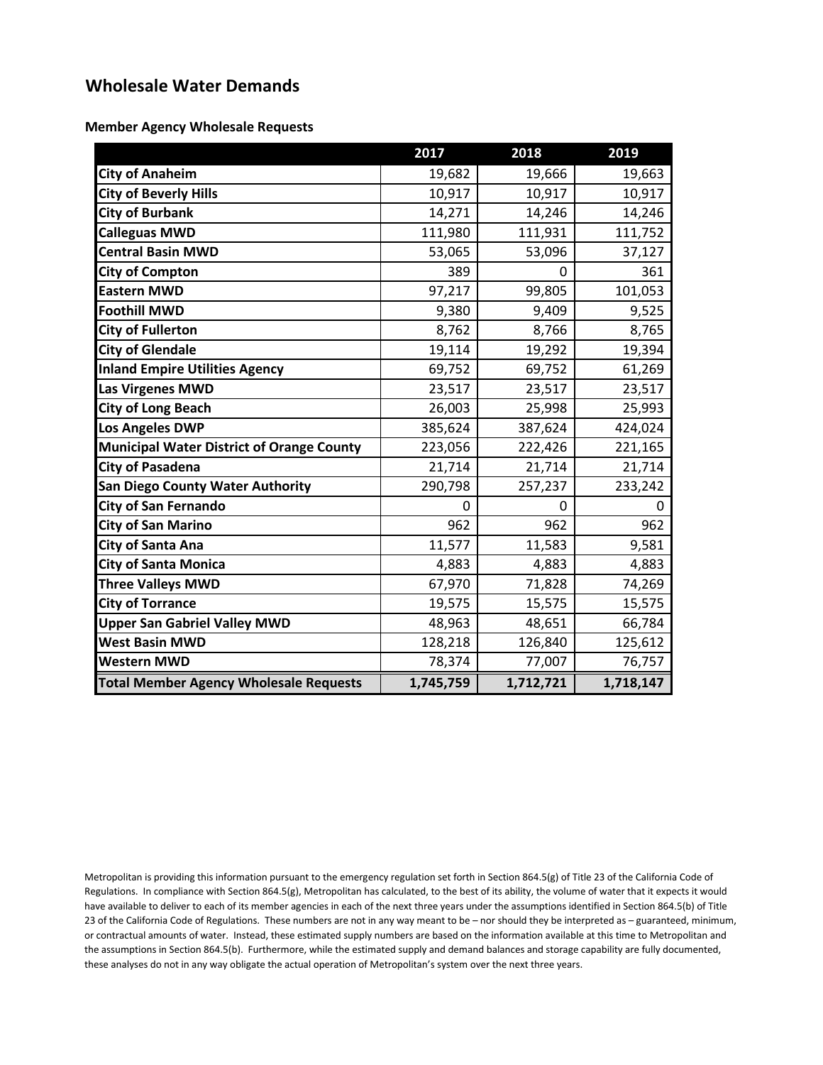# **Wholesale Water Demands**

**Member Agency Wholesale Requests**

|                                                  | 2017      | 2018      | 2019      |
|--------------------------------------------------|-----------|-----------|-----------|
| <b>City of Anaheim</b>                           | 19,682    | 19,666    | 19,663    |
| <b>City of Beverly Hills</b>                     | 10,917    | 10,917    | 10,917    |
| <b>City of Burbank</b>                           | 14,271    | 14,246    | 14,246    |
| <b>Calleguas MWD</b>                             | 111,980   | 111,931   | 111,752   |
| <b>Central Basin MWD</b>                         | 53,065    | 53,096    | 37,127    |
| <b>City of Compton</b>                           | 389       | 0         | 361       |
| <b>Eastern MWD</b>                               | 97,217    | 99,805    | 101,053   |
| <b>Foothill MWD</b>                              | 9,380     | 9,409     | 9,525     |
| <b>City of Fullerton</b>                         | 8,762     | 8,766     | 8,765     |
| <b>City of Glendale</b>                          | 19,114    | 19,292    | 19,394    |
| <b>Inland Empire Utilities Agency</b>            | 69,752    | 69,752    | 61,269    |
| <b>Las Virgenes MWD</b>                          | 23,517    | 23,517    | 23,517    |
| <b>City of Long Beach</b>                        | 26,003    | 25,998    | 25,993    |
| <b>Los Angeles DWP</b>                           | 385,624   | 387,624   | 424,024   |
| <b>Municipal Water District of Orange County</b> | 223,056   | 222,426   | 221,165   |
| <b>City of Pasadena</b>                          | 21,714    | 21,714    | 21,714    |
| <b>San Diego County Water Authority</b>          | 290,798   | 257,237   | 233,242   |
| <b>City of San Fernando</b>                      | 0         | 0         | 0         |
| <b>City of San Marino</b>                        | 962       | 962       | 962       |
| <b>City of Santa Ana</b>                         | 11,577    | 11,583    | 9,581     |
| <b>City of Santa Monica</b>                      | 4,883     | 4,883     | 4,883     |
| <b>Three Valleys MWD</b>                         | 67,970    | 71,828    | 74,269    |
| <b>City of Torrance</b>                          | 19,575    | 15,575    | 15,575    |
| <b>Upper San Gabriel Valley MWD</b>              | 48,963    | 48,651    | 66,784    |
| <b>West Basin MWD</b>                            | 128,218   | 126,840   | 125,612   |
| <b>Western MWD</b>                               | 78,374    | 77,007    | 76,757    |
| <b>Total Member Agency Wholesale Requests</b>    | 1,745,759 | 1,712,721 | 1,718,147 |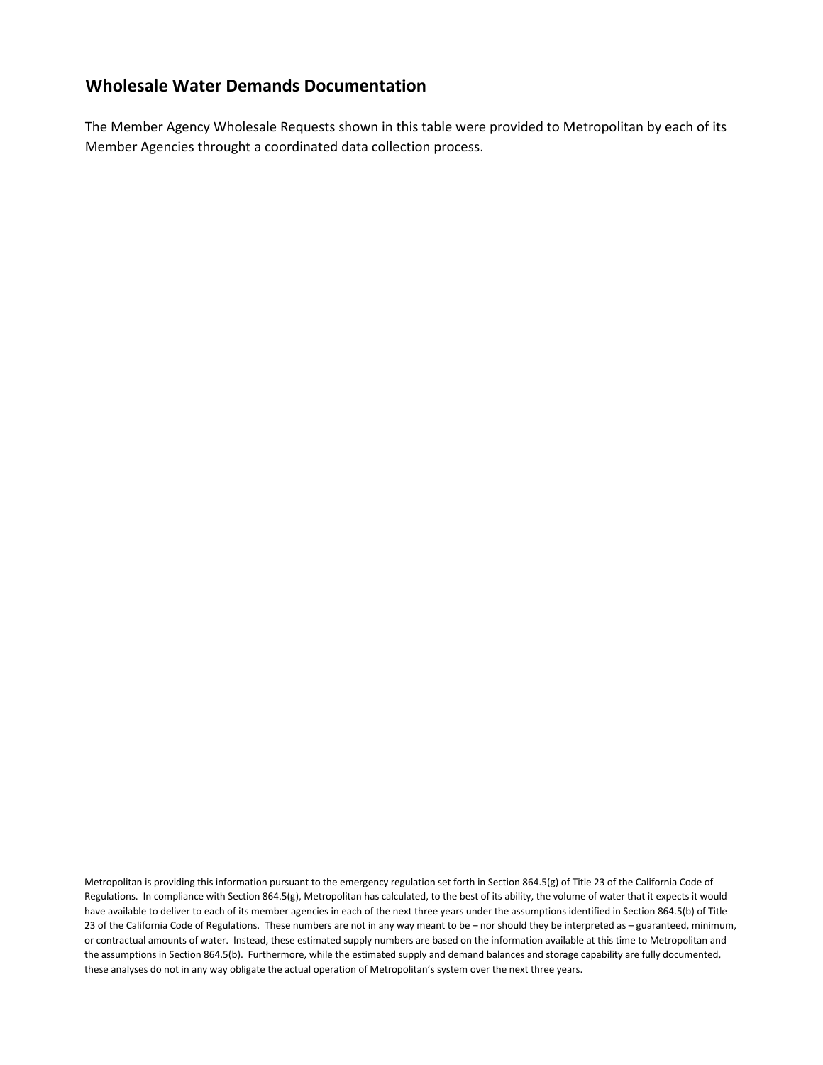### **Wholesale Water Demands Documentation**

The Member Agency Wholesale Requests shown in this table were provided to Metropolitan by each of its Member Agencies throught a coordinated data collection process.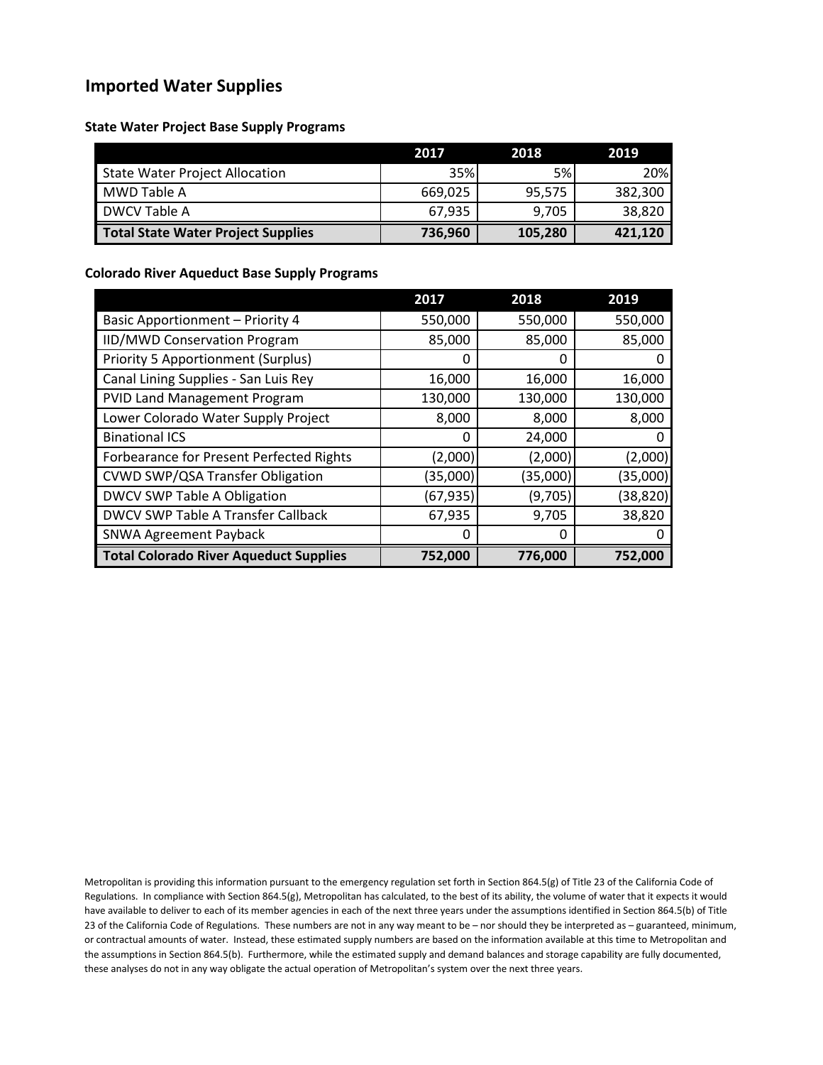# **Imported Water Supplies**

**State Water Project Base Supply Programs**

|                                    | 2017       | 2018      | 2019    |
|------------------------------------|------------|-----------|---------|
| State Water Project Allocation     | <b>35%</b> | <b>5%</b> | 20%     |
| MWD Table A                        | 669.025    | 95.575    | 382,300 |
| <b>DWCV Table A</b>                | 67.935     | 9,705     | 38,820  |
| Total State Water Project Supplies | 736,960    | 105,280   | 421,120 |

#### **Colorado River Aqueduct Base Supply Programs**

|                                               | 2017      | 2018     | 2019     |
|-----------------------------------------------|-----------|----------|----------|
| <b>Basic Apportionment - Priority 4</b>       | 550,000   | 550,000  | 550,000  |
| <b>IID/MWD Conservation Program</b>           | 85,000    | 85,000   | 85,000   |
| <b>Priority 5 Apportionment (Surplus)</b>     | 0         | 0        |          |
| Canal Lining Supplies - San Luis Rey          | 16,000    | 16,000   | 16,000   |
| <b>PVID Land Management Program</b>           | 130,000   | 130,000  | 130,000  |
| Lower Colorado Water Supply Project           | 8,000     | 8,000    | 8,000    |
| <b>Binational ICS</b>                         | 0         | 24,000   |          |
| Forbearance for Present Perfected Rights      | (2,000)   | (2,000)  | (2,000)  |
| CVWD SWP/QSA Transfer Obligation              | (35,000)  | (35,000) | (35,000) |
| DWCV SWP Table A Obligation                   | (67, 935) | (9,705)  | (38,820) |
| DWCV SWP Table A Transfer Callback            | 67,935    | 9,705    | 38,820   |
| <b>SNWA Agreement Payback</b>                 | 0         | 0        |          |
| <b>Total Colorado River Aqueduct Supplies</b> | 752,000   | 776,000  | 752.000  |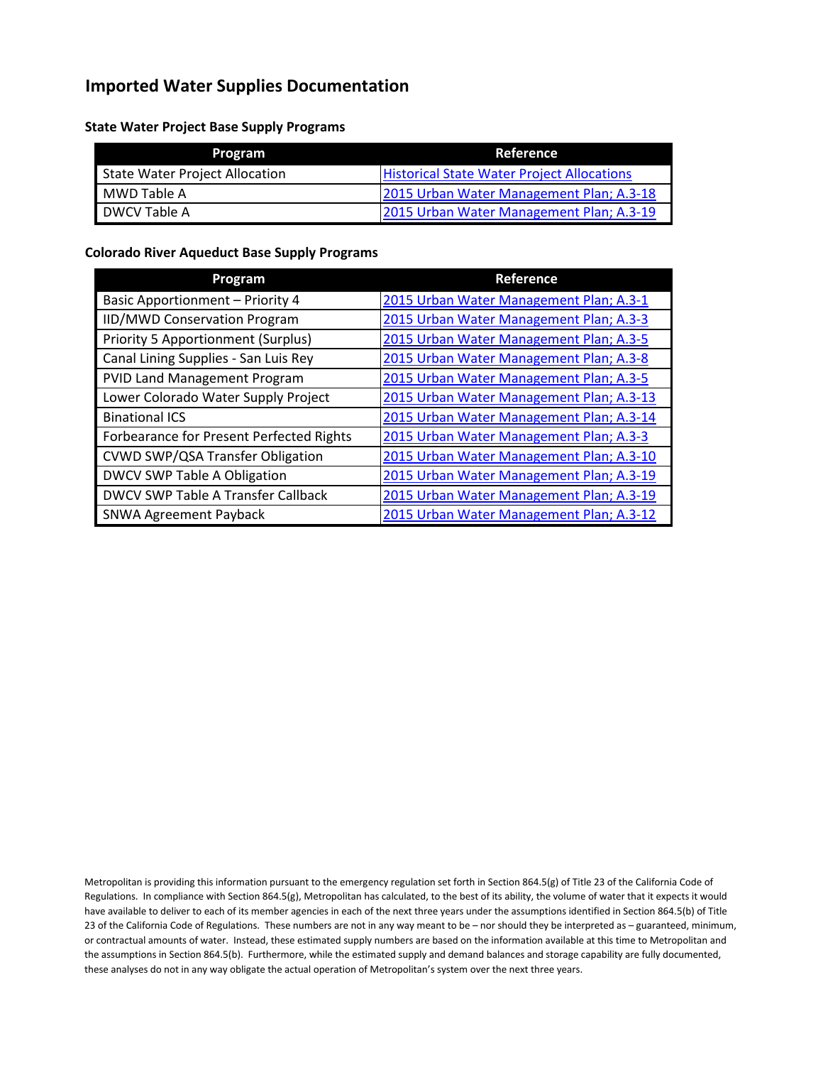# **Imported Water Supplies Documentation**

**State Water Project Base Supply Programs**

| Program                        | Reference                                         |
|--------------------------------|---------------------------------------------------|
| State Water Project Allocation | <b>Historical State Water Project Allocations</b> |
| MWD Table A                    | 2015 Urban Water Management Plan; A.3-18          |
| DWCV Table A                   | 2015 Urban Water Management Plan; A.3-19          |

### **Colorado River Aqueduct Base Supply Programs**

| Program                                  | Reference                                |
|------------------------------------------|------------------------------------------|
| <b>Basic Apportionment - Priority 4</b>  | 2015 Urban Water Management Plan; A.3-1  |
| IID/MWD Conservation Program             | 2015 Urban Water Management Plan; A.3-3  |
| Priority 5 Apportionment (Surplus)       | 2015 Urban Water Management Plan; A.3-5  |
| Canal Lining Supplies - San Luis Rey     | 2015 Urban Water Management Plan; A.3-8  |
| PVID Land Management Program             | 2015 Urban Water Management Plan; A.3-5  |
| Lower Colorado Water Supply Project      | 2015 Urban Water Management Plan; A.3-13 |
| <b>Binational ICS</b>                    | 2015 Urban Water Management Plan; A.3-14 |
| Forbearance for Present Perfected Rights | 2015 Urban Water Management Plan; A.3-3  |
| CVWD SWP/QSA Transfer Obligation         | 2015 Urban Water Management Plan; A.3-10 |
| DWCV SWP Table A Obligation              | 2015 Urban Water Management Plan; A.3-19 |
| DWCV SWP Table A Transfer Callback       | 2015 Urban Water Management Plan; A.3-19 |
| <b>SNWA Agreement Payback</b>            | 2015 Urban Water Management Plan; A.3-12 |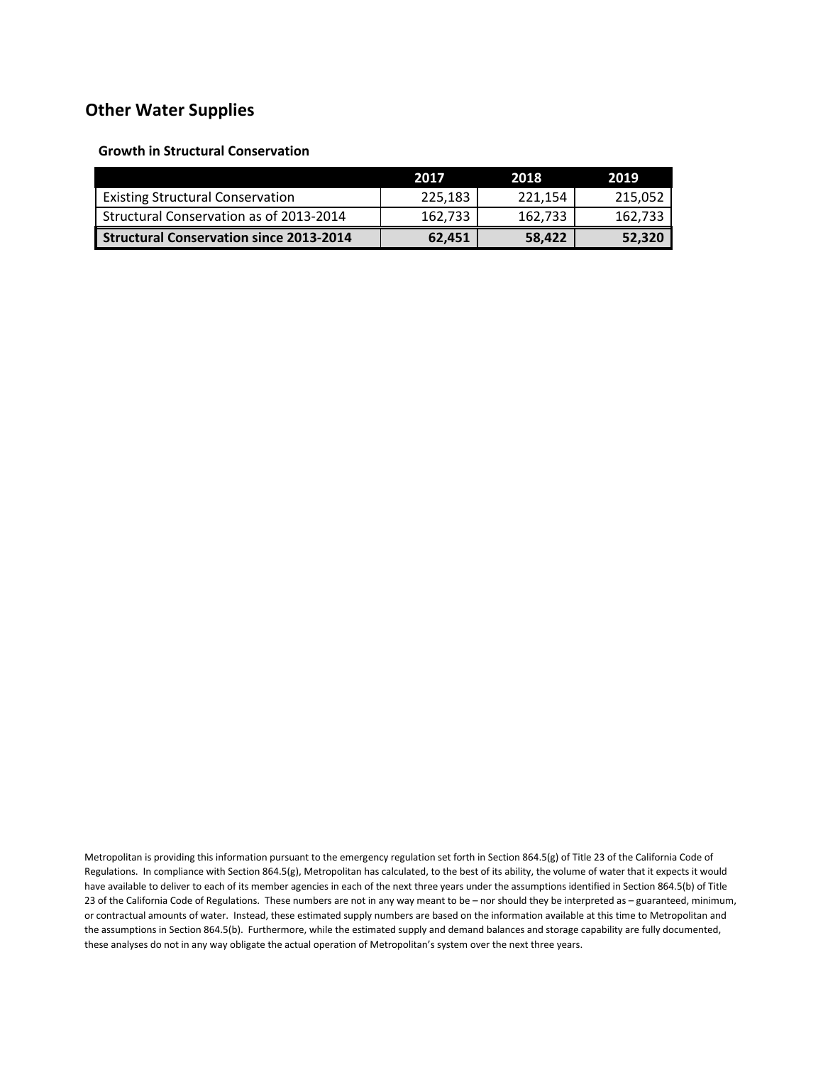### **Other Water Supplies**

**Growth in Structural Conservation**

|                                                | 2017    | 2018    | 2019    |
|------------------------------------------------|---------|---------|---------|
| <b>Existing Structural Conservation</b>        | 225.183 | 221.154 | 215,052 |
| Structural Conservation as of 2013-2014        | 162.733 | 162,733 | 162.733 |
| <b>Structural Conservation since 2013-2014</b> | 62,451  | 58,422  | 52,320  |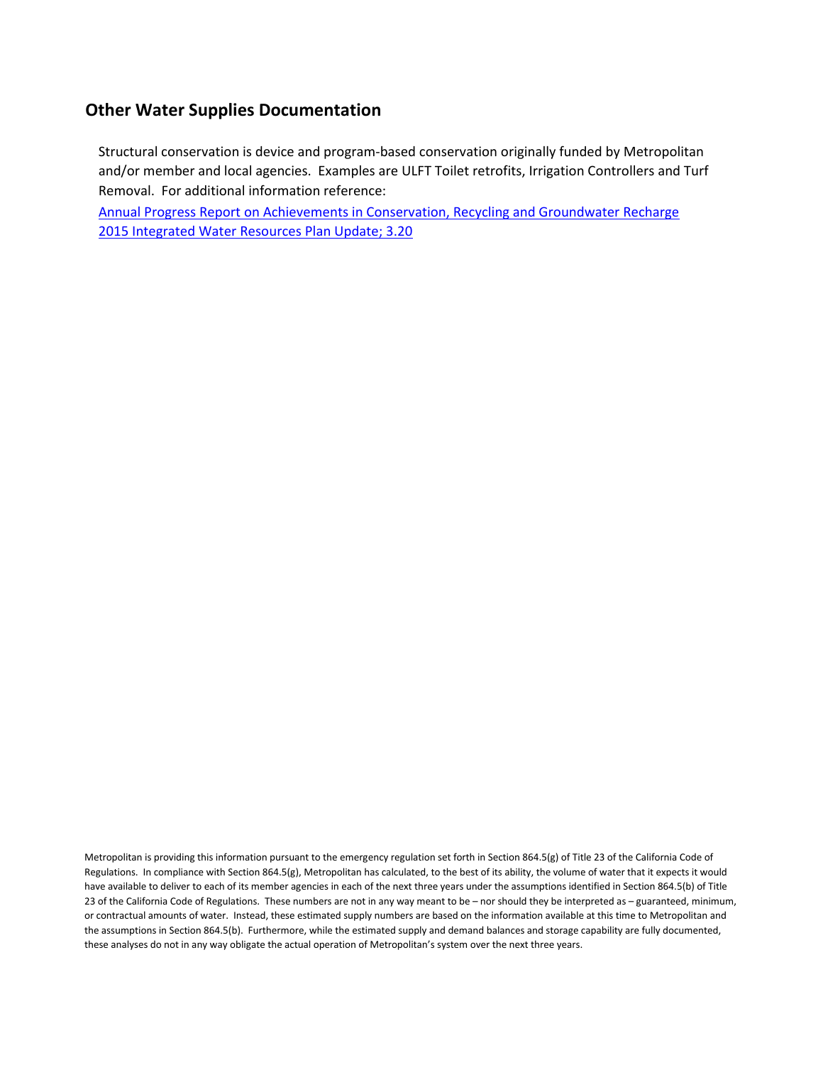# **Other Water Supplies Documentation**

Structural conservation is device and program-based conservation originally funded by Metropolitan and/or member and local agencies. Examples are ULFT Toilet retrofits, Irrigation Controllers and Turf Removal. For additional information reference:

[Annual Progress Report on Achievements in Conservation, Recycling and Groundwater Recharge](http://www.mwdh2o.com/PDF_About_Your_Water/2.1.1_Regional_Progress_ReportSB60.pdf) 2015 Integrated Water Resources Plan Update; 3.20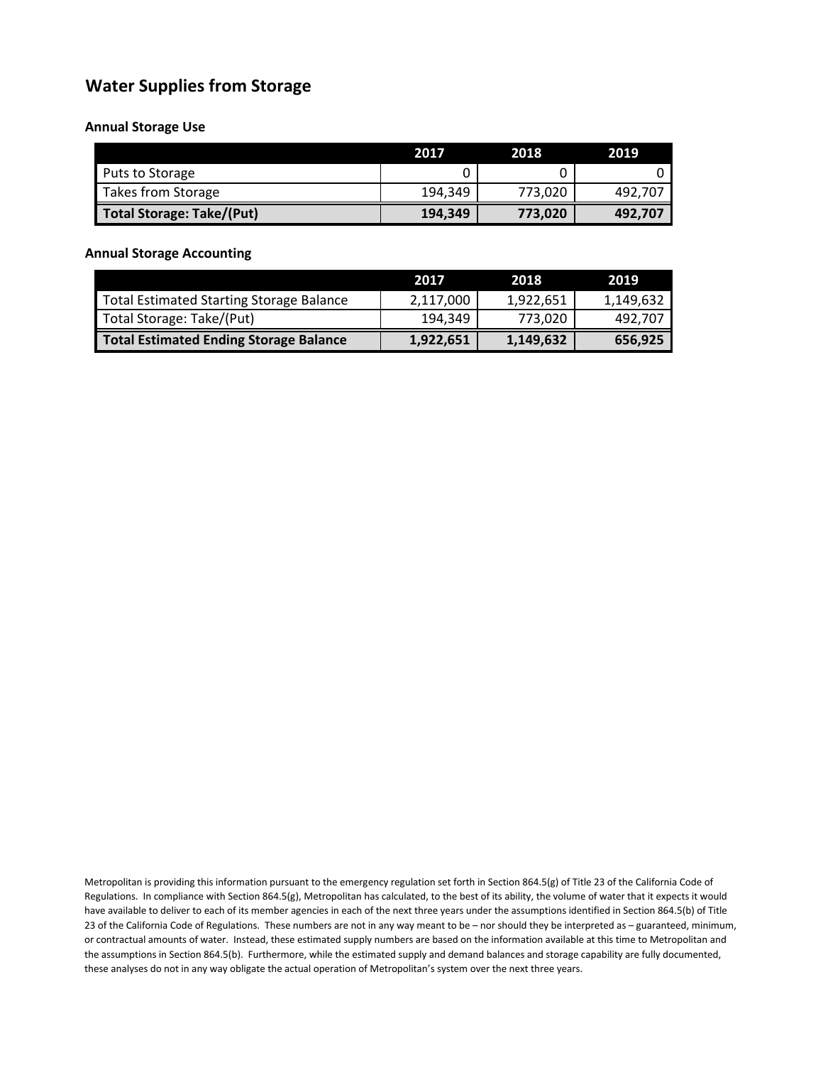# **Water Supplies from Storage**

#### **Annual Storage Use**

|                                  | 2017    | 2018    | 2019    |
|----------------------------------|---------|---------|---------|
| Puts to Storage                  |         |         |         |
| Takes from Storage               | 194,349 | 773,020 | 492,707 |
| <b>Total Storage: Take/(Put)</b> | 194,349 | 773,020 | 492,707 |

### **Annual Storage Accounting**

|                                                 | 2017/     | 2018      | 2019      |
|-------------------------------------------------|-----------|-----------|-----------|
| <b>Total Estimated Starting Storage Balance</b> | 2,117,000 | 1.922.651 | 1,149,632 |
| Total Storage: Take/(Put)                       | 194.349   | 773.020   | 492.707   |
| <b>Total Estimated Ending Storage Balance</b>   | 1,922,651 | 1,149,632 | 656,925   |